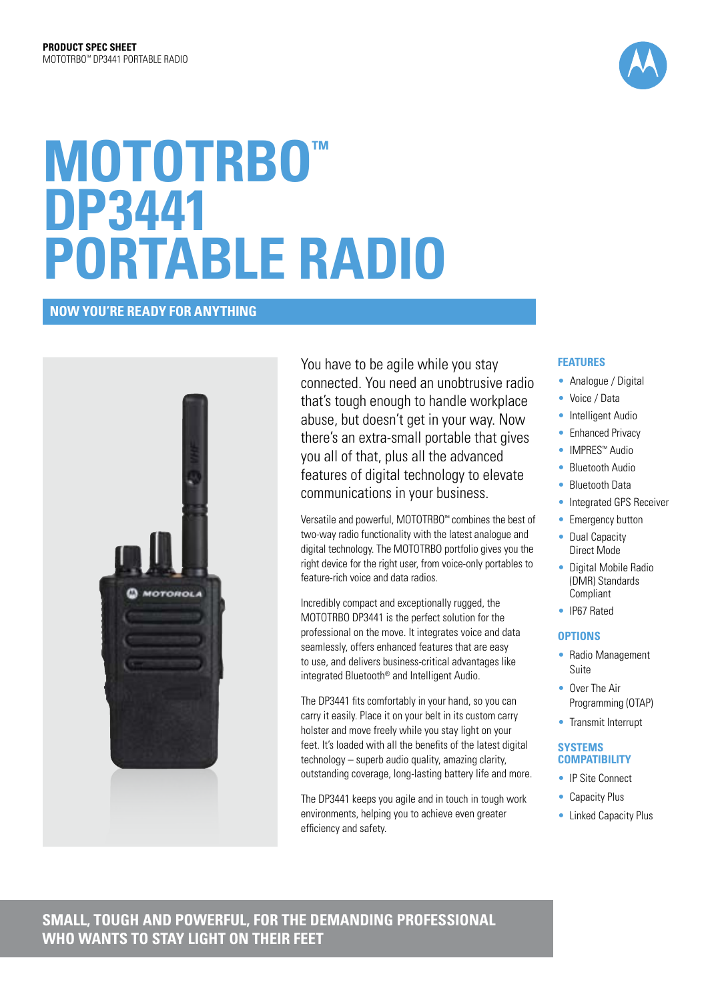

# **MOTOTRBO™ DP3441 portable RADIO**

# **NOW YOU'RE READY FOR ANYTHING**



You have to be agile while you stay connected. You need an unobtrusive radio that's tough enough to handle workplace abuse, but doesn't get in your way. Now there's an extra-small portable that gives you all of that, plus all the advanced features of digital technology to elevate communications in your business.

Versatile and powerful, MOTOTRBO™ combines the best of two-way radio functionality with the latest analogue and digital technology. The MOTOTRBO portfolio gives you the right device for the right user, from voice-only portables to feature-rich voice and data radios.

Incredibly compact and exceptionally rugged, the MOTOTRBO DP3441 is the perfect solution for the professional on the move. It integrates voice and data seamlessly, offers enhanced features that are easy to use, and delivers business-critical advantages like integrated Bluetooth® and Intelligent Audio.

The DP3441 fits comfortably in your hand, so you can carry it easily. Place it on your belt in its custom carry holster and move freely while you stay light on your feet. It's loaded with all the benefits of the latest digital technology – superb audio quality, amazing clarity, outstanding coverage, long-lasting battery life and more.

The DP3441 keeps you agile and in touch in tough work environments, helping you to achieve even greater efficiency and safety.

#### **Features**

- Analogue / Digital
- Voice / Data
- Intelligent Audio
- Enhanced Privacy
- IMPRES™ Audio
- Bluetooth Audio
- Bluetooth Data
- Integrated GPS Receiver
- Emergency button
- Dual Capacity Direct Mode
- Digital Mobile Radio (DMR) Standards Compliant
- IP67 Rated

#### **Options**

- Radio Management Suite
- Over The Air Programming (OTAP)
- Transmit Interrupt

#### **SYSTEMS COMPATIBILITY**

- IP Site Connect
- Capacity Plus
- Linked Capacity Plus

**SMALL, TOUGH AND POWERFUL, FOR THE DEMANDING PROFESSIONAL WHO WANTS TO STAY LIGHT ON THEIR FEET**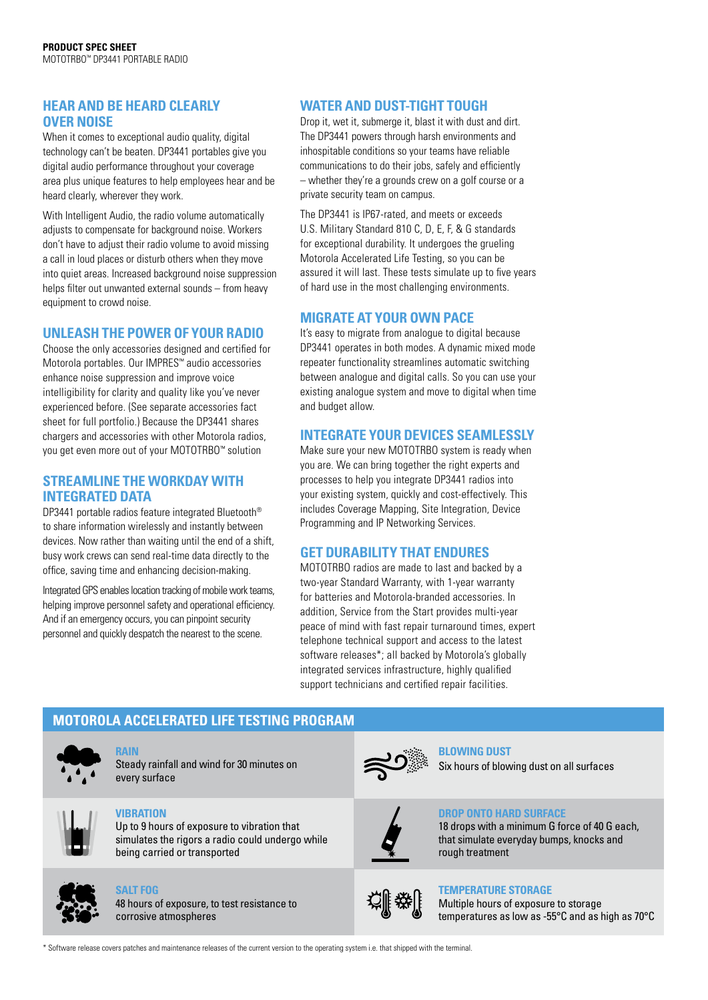# **HEAR AND BE HEARD CLEARLY OVER NOISE**

When it comes to exceptional audio quality, digital technology can't be beaten. DP3441 portables give you digital audio performance throughout your coverage area plus unique features to help employees hear and be heard clearly, wherever they work.

With Intelligent Audio, the radio volume automatically adjusts to compensate for background noise. Workers don't have to adjust their radio volume to avoid missing a call in loud places or disturb others when they move into quiet areas. Increased background noise suppression helps filter out unwanted external sounds – from heavy equipment to crowd noise.

#### **UNLEASH THE POWER OF YOUR RADIO**

Choose the only accessories designed and certified for Motorola portables. Our IMPRES™ audio accessories enhance noise suppression and improve voice intelligibility for clarity and quality like you've never experienced before. (See separate accessories fact sheet for full portfolio.) Because the DP3441 shares chargers and accessories with other Motorola radios, you get even more out of your MOTOTRBO™ solution

#### **STREAMLINE THE WORKDAY WITH INTEGRATED DATA**

DP3441 portable radios feature integrated Bluetooth® to share information wirelessly and instantly between devices. Now rather than waiting until the end of a shift, busy work crews can send real-time data directly to the office, saving time and enhancing decision-making.

Integrated GPS enables location tracking of mobile work teams, helping improve personnel safety and operational efficiency. And if an emergency occurs, you can pinpoint security personnel and quickly despatch the nearest to the scene.

# **WATER AND DUST-TIGHT TOUGH**

Drop it, wet it, submerge it, blast it with dust and dirt. The DP3441 powers through harsh environments and inhospitable conditions so your teams have reliable communications to do their jobs, safely and efficiently – whether they're a grounds crew on a golf course or a private security team on campus.

The DP3441 is IP67-rated, and meets or exceeds U.S. Military Standard 810 C, D, E, F, & G standards for exceptional durability. It undergoes the grueling Motorola Accelerated Life Testing, so you can be assured it will last. These tests simulate up to five years of hard use in the most challenging environments.

### **MIGRATE AT YOUR OWN PACE**

It's easy to migrate from analogue to digital because DP3441 operates in both modes. A dynamic mixed mode repeater functionality streamlines automatic switching between analogue and digital calls. So you can use your existing analogue system and move to digital when time and budget allow.

# **INTEGRATE YOUR DEVICES SEAMLESSLY**

Make sure your new MOTOTRBO system is ready when you are. We can bring together the right experts and processes to help you integrate DP3441 radios into your existing system, quickly and cost-effectively. This includes Coverage Mapping, Site Integration, Device Programming and IP Networking Services.

# **GET DURABILITY THAT ENDURES**

MOTOTRBO radios are made to last and backed by a two-year Standard Warranty, with 1-year warranty for batteries and Motorola-branded accessories. In addition, Service from the Start provides multi-year peace of mind with fast repair turnaround times, expert telephone technical support and access to the latest software releases\*; all backed by Motorola's globally integrated services infrastructure, highly qualified support technicians and certified repair facilities.

# **MOTOROLA ACCELERATED LIFE TESTING PROGRAM**



# **Rain**



#### **Vibration**

Up to 9 hours of exposure to vibration that simulates the rigors a radio could undergo while being carried or transported



#### **Salt Fog**

48 hours of exposure, to test resistance to corrosive atmospheres



#### **Blowing Dust** Six hours of blowing dust on all surfaces



#### **DROP ONTO HARD SURFACE**

18 drops with a minimum G force of 40 G each, that simulate everyday bumps, knocks and rough treatment



#### **Temperature Storage**

Multiple hours of exposure to storage temperatures as low as -55°C and as high as 70°C

\* Software release covers patches and maintenance releases of the current version to the operating system i.e. that shipped with the terminal.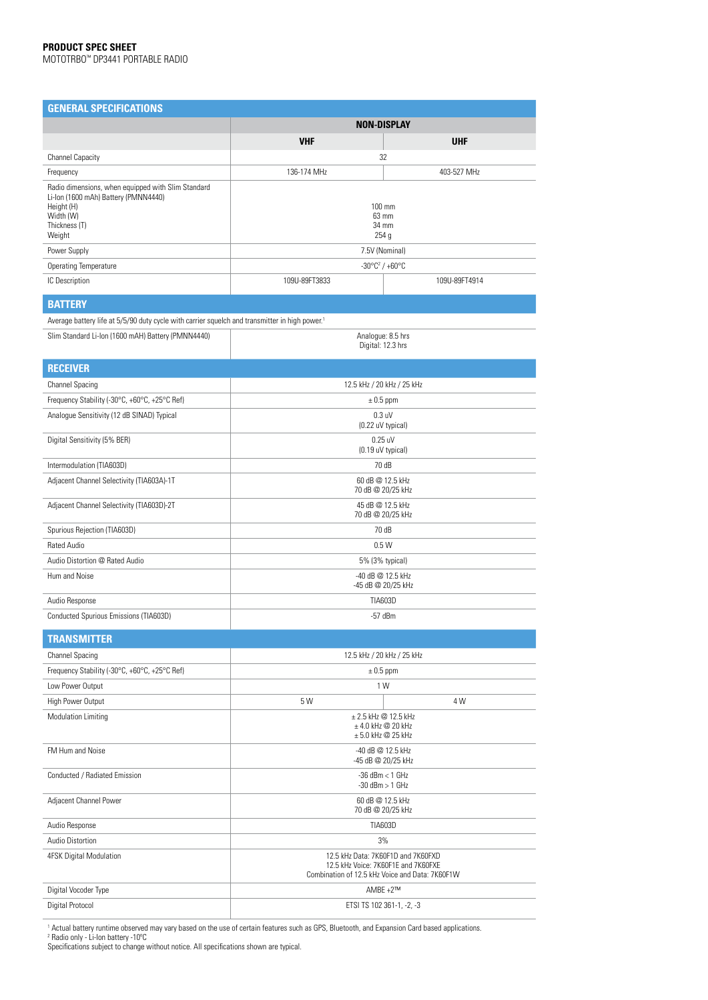| <b>GENERAL SPECIFICATIONS</b>                                                                                                                    |                                         |               |  |
|--------------------------------------------------------------------------------------------------------------------------------------------------|-----------------------------------------|---------------|--|
|                                                                                                                                                  | <b>NON-DISPLAY</b>                      |               |  |
|                                                                                                                                                  | <b>VHF</b>                              | <b>UHF</b>    |  |
| <b>Channel Capacity</b>                                                                                                                          | 32                                      |               |  |
| Frequency                                                                                                                                        | 136-174 MHz                             | 403-527 MHz   |  |
| Radio dimensions, when equipped with Slim Standard<br>Li-lon (1600 mAh) Battery (PMNN4440)<br>Height (H)<br>Width (W)<br>Thickness (T)<br>Weight | 100 mm<br>63 mm<br>34 mm<br>254 g       |               |  |
| Power Supply                                                                                                                                     | 7.5V (Nominal)                          |               |  |
| <b>Operating Temperature</b>                                                                                                                     | $-30^{\circ}C^2$ / $+60^{\circ}C$       |               |  |
| IC Description                                                                                                                                   | 109U-89FT3833                           | 109U-89FT4914 |  |
| <b>BATTERY</b>                                                                                                                                   |                                         |               |  |
| Average battery life at 5/5/90 duty cycle with carrier squelch and transmitter in high power. <sup>1</sup>                                       |                                         |               |  |
| Slim Standard Li-Ion (1600 mAH) Battery (PMNN4440)                                                                                               | Analogue: 8.5 hrs<br>Digital: 12.3 hrs  |               |  |
| <b>RECEIVER</b>                                                                                                                                  |                                         |               |  |
| <b>Channel Spacing</b>                                                                                                                           | 12.5 kHz / 20 kHz / 25 kHz              |               |  |
| Frequency Stability (-30°C, +60°C, +25°C Ref)                                                                                                    | $\pm$ 0.5 ppm                           |               |  |
| Analogue Sensitivity (12 dB SINAD) Typical                                                                                                       | $0.3$ uV<br>(0.22 uV typical)           |               |  |
| Digital Sensitivity (5% BER)                                                                                                                     | $0.25$ uV<br>(0.19 uV typical)          |               |  |
| Intermodulation (TIA603D)                                                                                                                        | 70 dB                                   |               |  |
| Adjacent Channel Selectivity (TIA603A)-1T                                                                                                        | 60 dB @ 12.5 kHz<br>70 dB @ 20/25 kHz   |               |  |
| Adjacent Channel Selectivity (TIA603D)-2T                                                                                                        | 45 dB @ 12.5 kHz<br>70 dB @ 20/25 kHz   |               |  |
| Spurious Rejection (TIA603D)                                                                                                                     | 70 dB                                   |               |  |
| <b>Rated Audio</b>                                                                                                                               | 0.5W                                    |               |  |
| Audio Distortion @ Rated Audio                                                                                                                   | 5% (3% typical)                         |               |  |
| Hum and Noise                                                                                                                                    | -40 dB @ 12.5 kHz<br>-45 dB @ 20/25 kHz |               |  |
| Audio Response                                                                                                                                   | <b>TIA603D</b>                          |               |  |
| Conducted Spurious Emissions (TIA603D)                                                                                                           | $-57$ dBm                               |               |  |
| <b>TRANSMITTER</b>                                                                                                                               |                                         |               |  |
| <b>Channel Spacing</b>                                                                                                                           | 12.5 kHz / 20 kHz / 25 kHz              |               |  |
| From the Chalille, LODD. LODD. LODD Dail                                                                                                         | 0.5cm                                   |               |  |

| <b>Channel Spacing</b>                        | 12.5 kHz / 20 kHz / 25 kHz                                                                                                   |                |  |
|-----------------------------------------------|------------------------------------------------------------------------------------------------------------------------------|----------------|--|
| Frequency Stability (-30°C, +60°C, +25°C Ref) | $\pm$ 0.5 ppm                                                                                                                |                |  |
| Low Power Output                              | 1 W                                                                                                                          |                |  |
| High Power Output                             | 5 W                                                                                                                          | 4 W            |  |
| <b>Modulation Limiting</b>                    | ± 2.5 kHz @ 12.5 kHz<br>$±$ 4.0 kHz @ 20 kHz<br>$± 5.0$ kHz @ 25 kHz                                                         |                |  |
| FM Hum and Noise                              | -40 dB @ 12.5 kHz<br>-45 dB @ 20/25 kHz                                                                                      |                |  |
| Conducted / Radiated Emission                 | $-36$ dBm $<$ 1 GHz<br>$-30$ dBm $> 1$ GHz                                                                                   |                |  |
| Adjacent Channel Power                        | 60 dB @ 12.5 kHz<br>70 dB @ 20/25 kHz                                                                                        |                |  |
| Audio Response                                |                                                                                                                              | <b>TIA603D</b> |  |
| <b>Audio Distortion</b>                       |                                                                                                                              | 3%             |  |
| 4FSK Digital Modulation                       | 12.5 kHz Data: 7K60F1D and 7K60FXD<br>12.5 kHz Voice: 7K60F1F and 7K60FXF<br>Combination of 12.5 kHz Voice and Data: 7K60F1W |                |  |
| Digital Vocoder Type                          | AMBE $+2^{\text{TM}}$                                                                                                        |                |  |
| <b>Digital Protocol</b>                       | ETSI TS 102 361-1, -2, -3                                                                                                    |                |  |

' Actual battery runtime observed may vary based on the use of certain features such as GPS, Bluetooth, and Expansion Card based applications.<br><sup>2</sup> Radio only - Li-Ion battery -10ºC

Specifications subject to change without notice. All specifications shown are typical.